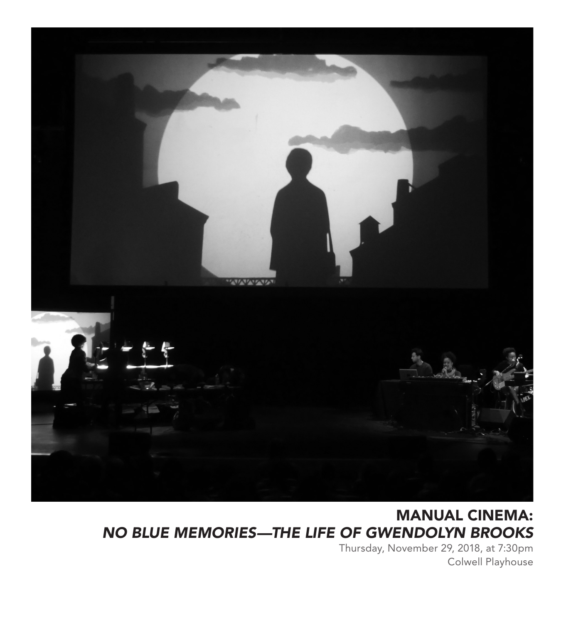

### MANUAL CINEMA: *NO BLUE MEMORIES—THE LIFE OF GWENDOLYN BROOKS*

Thursday, November 29, 2018, at 7:30pm Colwell Playhouse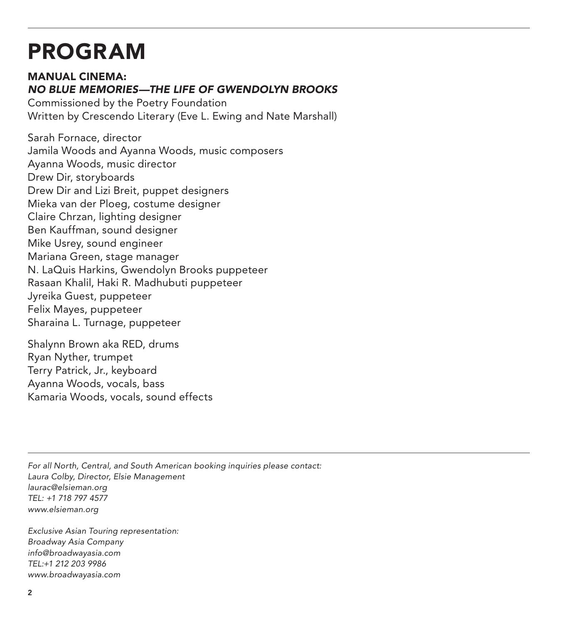## PROGRAM

#### MANUAL CINEMA: *NO BLUE MEMORIES—THE LIFE OF GWENDOLYN BROOKS*

Commissioned by the Poetry Foundation Written by Crescendo Literary (Eve L. Ewing and Nate Marshall)

Sarah Fornace, director Jamila Woods and Ayanna Woods, music composers Ayanna Woods, music director Drew Dir, storyboards Drew Dir and Lizi Breit, puppet designers Mieka van der Ploeg, costume designer Claire Chrzan, lighting designer Ben Kauffman, sound designer Mike Usrey, sound engineer Mariana Green, stage manager N. LaQuis Harkins, Gwendolyn Brooks puppeteer Rasaan Khalil, Haki R. Madhubuti puppeteer Jyreika Guest, puppeteer Felix Mayes, puppeteer Sharaina L. Turnage, puppeteer

Shalynn Brown aka RED, drums Ryan Nyther, trumpet Terry Patrick, Jr., keyboard Ayanna Woods, vocals, bass Kamaria Woods, vocals, sound effects

*For all North, Central, and South American booking inquiries please contact: Laura Colby, Director, Elsie Management laurac@elsieman.org TEL: +1 718 797 4577 www.elsieman.org*

*Exclusive Asian Touring representation: Broadway Asia Company info@broadwayasia.com TEL:+1 212 203 9986 www.broadwayasia.com*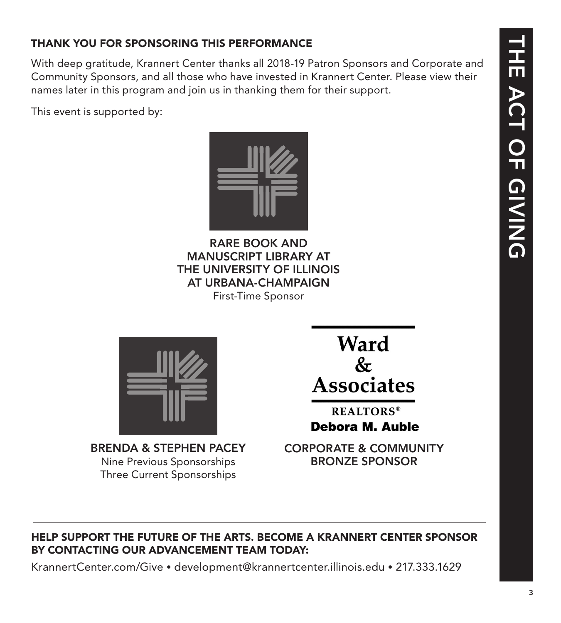### THANK YOU FOR SPONSORING THIS PERFORMANCE

With deep gratitude, Krannert Center thanks all 2018-19 Patron Sponsors and Corporate and Community Sponsors, and all those who have invested in Krannert Center. Please view their names later in this program and join us in thanking them for their support.

This event is supported by:



RARE BOOK AND MANUSCRIPT LIBRARY AT THE UNIVERSITY OF ILLINOIS AT URBANA-CHAMPAIGN First-Time Sponsor



BRENDA & STEPHEN PACEY Nine Previous Sponsorships Three Current Sponsorships

Ward  $\&$ **Associates** 

**REALTORS® Debora M. Auble** 

CORPORATE & COMMUNITY BRONZE SPONSOR

#### HELP SUPPORT THE FUTURE OF THE ARTS. BECOME A KRANNERT CENTER SPONSOR BY CONTACTING OUR ADVANCEMENT TEAM TODAY:

KrannertCenter.com/Give • development@krannertcenter.illinois.edu • 217.333.1629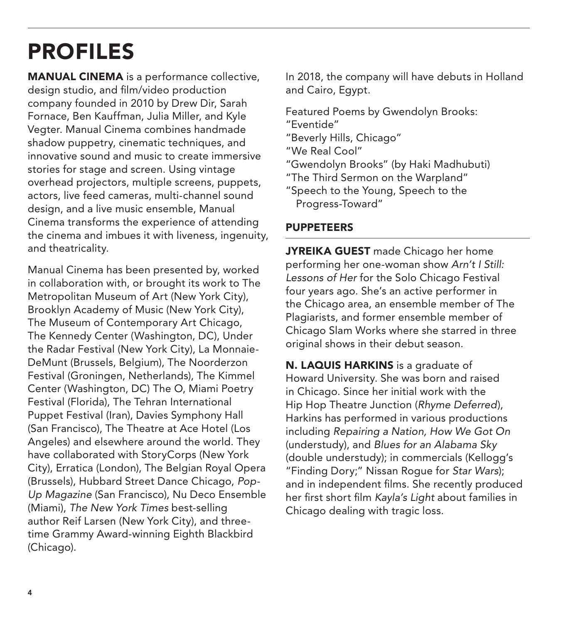# PROFILES

MANUAL CINEMA is a performance collective, design studio, and film/video production company founded in 2010 by Drew Dir, Sarah Fornace, Ben Kauffman, Julia Miller, and Kyle Vegter. Manual Cinema combines handmade shadow puppetry, cinematic techniques, and innovative sound and music to create immersive stories for stage and screen. Using vintage overhead projectors, multiple screens, puppets, actors, live feed cameras, multi-channel sound design, and a live music ensemble, Manual Cinema transforms the experience of attending the cinema and imbues it with liveness, ingenuity, and theatricality.

Manual Cinema has been presented by, worked in collaboration with, or brought its work to The Metropolitan Museum of Art (New York City), Brooklyn Academy of Music (New York City), The Museum of Contemporary Art Chicago, The Kennedy Center (Washington, DC), Under the Radar Festival (New York City), La Monnaie-DeMunt (Brussels, Belgium), The Noorderzon Festival (Groningen, Netherlands), The Kimmel Center (Washington, DC) The O, Miami Poetry Festival (Florida), The Tehran International Puppet Festival (Iran), Davies Symphony Hall (San Francisco), The Theatre at Ace Hotel (Los Angeles) and elsewhere around the world. They have collaborated with StoryCorps (New York City), Erratica (London), The Belgian Royal Opera (Brussels), Hubbard Street Dance Chicago, *Pop-Up Magazine* (San Francisco), Nu Deco Ensemble (Miami), *The New York Times* best-selling author Reif Larsen (New York City), and threetime Grammy Award-winning Eighth Blackbird (Chicago).

In 2018, the company will have debuts in Holland and Cairo, Egypt.

Featured Poems by Gwendolyn Brooks: "Eventide" "Beverly Hills, Chicago"

"We Real Cool"

"Gwendolyn Brooks" (by Haki Madhubuti)

"The Third Sermon on the Warpland"

"Speech to the Young, Speech to the Progress-Toward"

#### PUPPETEERS

JYREIKA GUEST made Chicago her home performing her one-woman show *Arn't I Still: Lessons of Her* for the Solo Chicago Festival four years ago. She's an active performer in the Chicago area, an ensemble member of The Plagiarists, and former ensemble member of Chicago Slam Works where she starred in three original shows in their debut season.

N. LAQUIS HARKINS is a graduate of Howard University. She was born and raised in Chicago. Since her initial work with the Hip Hop Theatre Junction (*Rhyme Deferred*), Harkins has performed in various productions including *Repairing a Nation, How We Got On* (understudy), and *Blues for an Alabama Sky*  (double understudy); in commercials (Kellogg's "Finding Dory;" Nissan Rogue for *Star Wars*); and in independent films. She recently produced her first short film *Kayla's Light* about families in Chicago dealing with tragic loss.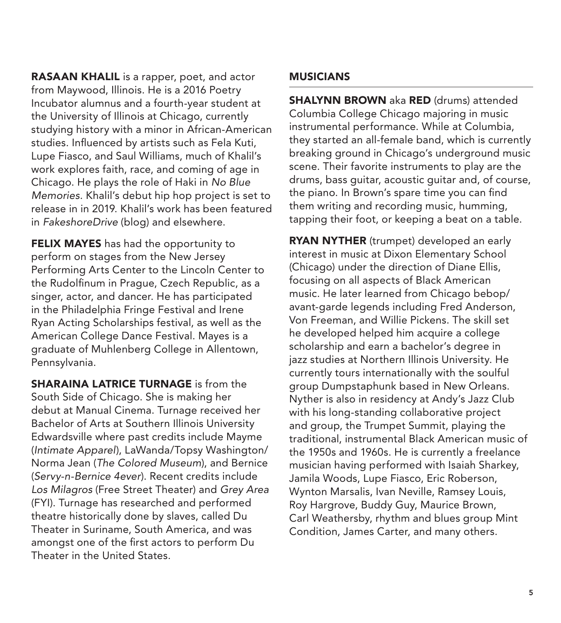RASAAN KHALIL is a rapper, poet, and actor from Maywood, Illinois. He is a 2016 Poetry Incubator alumnus and a fourth-year student at the University of Illinois at Chicago, currently studying history with a minor in African-American studies. Influenced by artists such as Fela Kuti, Lupe Fiasco, and Saul Williams, much of Khalil's work explores faith, race, and coming of age in Chicago. He plays the role of Haki in *No Blue Memories*. Khalil's debut hip hop project is set to release in in 2019. Khalil's work has been featured in *FakeshoreDrive* (blog) and elsewhere.

**FELIX MAYES** has had the opportunity to perform on stages from the New Jersey Performing Arts Center to the Lincoln Center to the Rudolfinum in Prague, Czech Republic, as a singer, actor, and dancer. He has participated in the Philadelphia Fringe Festival and Irene Ryan Acting Scholarships festival, as well as the American College Dance Festival. Mayes is a graduate of Muhlenberg College in Allentown, Pennsylvania.

SHARAINA LATRICE TURNAGE is from the South Side of Chicago. She is making her debut at Manual Cinema. Turnage received her Bachelor of Arts at Southern Illinois University Edwardsville where past credits include Mayme (*Intimate Apparel*), LaWanda/Topsy Washington/ Norma Jean (*The Colored Museum*), and Bernice (*Servy-n-Bernice 4ever*). Recent credits include *Los Milagros* (Free Street Theater) and *Grey Area* (FYI). Turnage has researched and performed theatre historically done by slaves, called Du Theater in Suriname, South America, and was amongst one of the first actors to perform Du Theater in the United States.

#### MUSICIANS

SHALYNN BROWN aka RED (drums) attended Columbia College Chicago majoring in music instrumental performance. While at Columbia, they started an all-female band, which is currently breaking ground in Chicago's underground music scene. Their favorite instruments to play are the drums, bass guitar, acoustic guitar and, of course, the piano. In Brown's spare time you can find them writing and recording music, humming, tapping their foot, or keeping a beat on a table.

**RYAN NYTHER** (trumpet) developed an early interest in music at Dixon Elementary School (Chicago) under the direction of Diane Ellis, focusing on all aspects of Black American music. He later learned from Chicago bebop/ avant-garde legends including Fred Anderson, Von Freeman, and Willie Pickens. The skill set he developed helped him acquire a college scholarship and earn a bachelor's degree in jazz studies at Northern Illinois University. He currently tours internationally with the soulful group Dumpstaphunk based in New Orleans. Nyther is also in residency at Andy's Jazz Club with his long-standing collaborative project and group, the Trumpet Summit, playing the traditional, instrumental Black American music of the 1950s and 1960s. He is currently a freelance musician having performed with Isaiah Sharkey, Jamila Woods, Lupe Fiasco, Eric Roberson, Wynton Marsalis, Ivan Neville, Ramsey Louis, Roy Hargrove, Buddy Guy, Maurice Brown, Carl Weathersby, rhythm and blues group Mint Condition, James Carter, and many others.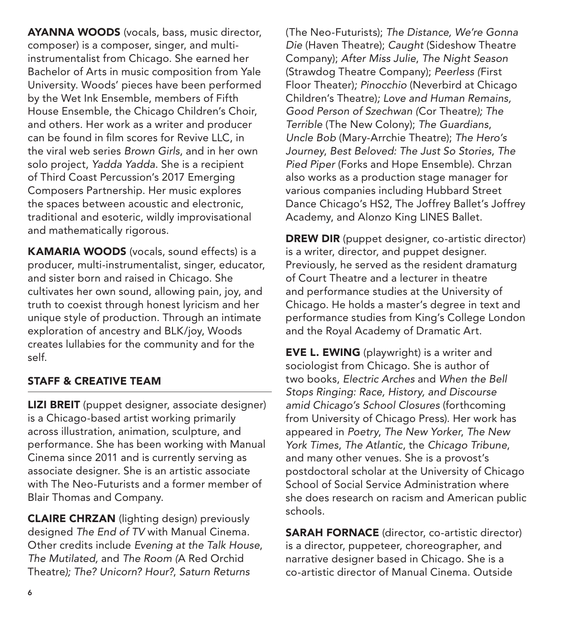AYANNA WOODS (vocals, bass, music director, composer) is a composer, singer, and multiinstrumentalist from Chicago. She earned her Bachelor of Arts in music composition from Yale University. Woods' pieces have been performed by the Wet Ink Ensemble, members of Fifth House Ensemble, the Chicago Children's Choir, and others. Her work as a writer and producer can be found in film scores for Revive LLC, in the viral web series *Brown Girls*, and in her own solo project, *Yadda Yadda*. She is a recipient of Third Coast Percussion's 2017 Emerging Composers Partnership. Her music explores the spaces between acoustic and electronic, traditional and esoteric, wildly improvisational and mathematically rigorous.

KAMARIA WOODS (vocals, sound effects) is a producer, multi-instrumentalist, singer, educator, and sister born and raised in Chicago. She cultivates her own sound, allowing pain, joy, and truth to coexist through honest lyricism and her unique style of production. Through an intimate exploration of ancestry and BLK/joy, Woods creates lullabies for the community and for the self.

#### STAFF & CREATIVE TEAM

LIZI BREIT (puppet designer, associate designer) is a Chicago-based artist working primarily across illustration, animation, sculpture, and performance. She has been working with Manual Cinema since 2011 and is currently serving as associate designer. She is an artistic associate with The Neo-Futurists and a former member of Blair Thomas and Company.

CLAIRE CHRZAN (lighting design) previously designed *The End of TV* with Manual Cinema*.*  Other credits include *Evening at the Talk House*, *The Mutilated,* and *The Room (*A Red Orchid Theatre*); The? Unicorn? Hour?*, *Saturn Returns* 

(The Neo-Futurists); *The Distance, We're Gonna Die* (Haven Theatre); *Caught* (Sideshow Theatre Company); *After Miss Julie*, *The Night Season* (Strawdog Theatre Company); *Peerless (*First Floor Theater)*; Pinocchio* (Neverbird at Chicago Children's Theatre)*; Love and Human Remains, Good Person of Szechwan (*Cor Theatre*); The Terrible* (The New Colony); *The Guardians*, *Uncle Bob* (Mary-Arrchie Theatre); *The Hero's Journey*, *Best Beloved: The Just So Stories*, *The Pied Piper* (Forks and Hope Ensemble). Chrzan also works as a production stage manager for various companies including Hubbard Street Dance Chicago's HS2, The Joffrey Ballet's Joffrey Academy, and Alonzo King LINES Ballet.

DREW DIR (puppet designer, co-artistic director) is a writer, director, and puppet designer. Previously, he served as the resident dramaturg of Court Theatre and a lecturer in theatre and performance studies at the University of Chicago. He holds a master's degree in text and performance studies from King's College London and the Royal Academy of Dramatic Art.

EVE L. EWING (playwright) is a writer and sociologist from Chicago. She is author of two books, *Electric Arches* and *When the Bell Stops Ringing: Race, History, and Discourse amid Chicago's School Closures* (forthcoming from University of Chicago Press). Her work has appeared in *Poetry*, *The New Yorker*, *The New York Times*, *The Atlantic*, the *Chicago Tribune*, and many other venues. She is a provost's postdoctoral scholar at the University of Chicago School of Social Service Administration where she does research on racism and American public schools.

SARAH FORNACE (director, co-artistic director) is a director, puppeteer, choreographer, and narrative designer based in Chicago. She is a co-artistic director of Manual Cinema. Outside